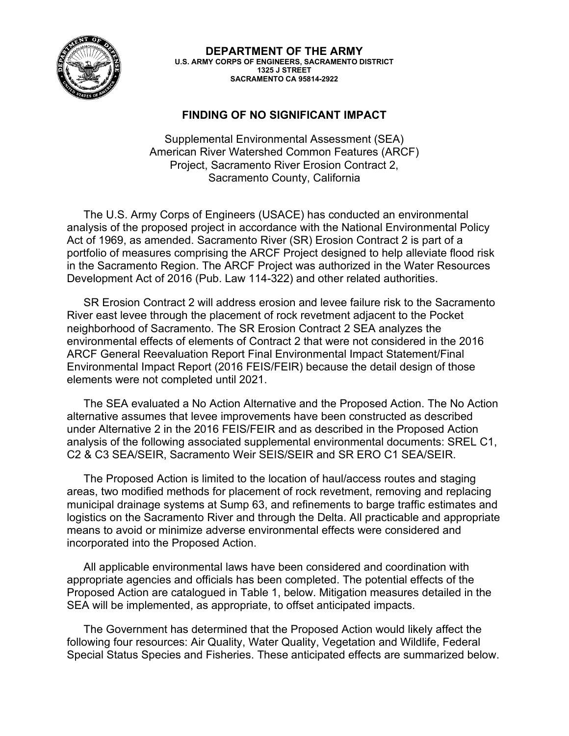

**DEPARTMENT OF THE ARMY U.S. ARMY CORPS OF ENGINEERS, SACRAMENTO DISTRICT 1325 J STREET SACRAMENTO CA 95814-2922**

## **FINDING OF NO SIGNIFICANT IMPACT**

Supplemental Environmental Assessment (SEA) American River Watershed Common Features (ARCF) Project, Sacramento River Erosion Contract 2, Sacramento County, California

The U.S. Army Corps of Engineers (USACE) has conducted an environmental analysis of the proposed project in accordance with the National Environmental Policy Act of 1969, as amended. Sacramento River (SR) Erosion Contract 2 is part of a portfolio of measures comprising the ARCF Project designed to help alleviate flood risk in the Sacramento Region. The ARCF Project was authorized in the Water Resources Development Act of 2016 (Pub. Law 114-322) and other related authorities.

SR Erosion Contract 2 will address erosion and levee failure risk to the Sacramento River east levee through the placement of rock revetment adjacent to the Pocket neighborhood of Sacramento. The SR Erosion Contract 2 SEA analyzes the environmental effects of elements of Contract 2 that were not considered in the 2016 ARCF General Reevaluation Report Final Environmental Impact Statement/Final Environmental Impact Report (2016 FEIS/FEIR) because the detail design of those elements were not completed until 2021.

The SEA evaluated a No Action Alternative and the Proposed Action. The No Action alternative assumes that levee improvements have been constructed as described under Alternative 2 in the 2016 FEIS/FEIR and as described in the Proposed Action analysis of the following associated supplemental environmental documents: SREL C1, C2 & C3 SEA/SEIR, Sacramento Weir SEIS/SEIR and SR ERO C1 SEA/SEIR.

The Proposed Action is limited to the location of haul/access routes and staging areas, two modified methods for placement of rock revetment, removing and replacing municipal drainage systems at Sump 63, and refinements to barge traffic estimates and logistics on the Sacramento River and through the Delta. All practicable and appropriate means to avoid or minimize adverse environmental effects were considered and incorporated into the Proposed Action.

All applicable environmental laws have been considered and coordination with appropriate agencies and officials has been completed. The potential effects of the Proposed Action are catalogued in [Table 1,](#page-2-0) below. Mitigation measures detailed in the SEA will be implemented, as appropriate, to offset anticipated impacts.

The Government has determined that the Proposed Action would likely affect the following four resources: Air Quality, Water Quality, Vegetation and Wildlife, Federal Special Status Species and Fisheries. These anticipated effects are summarized below.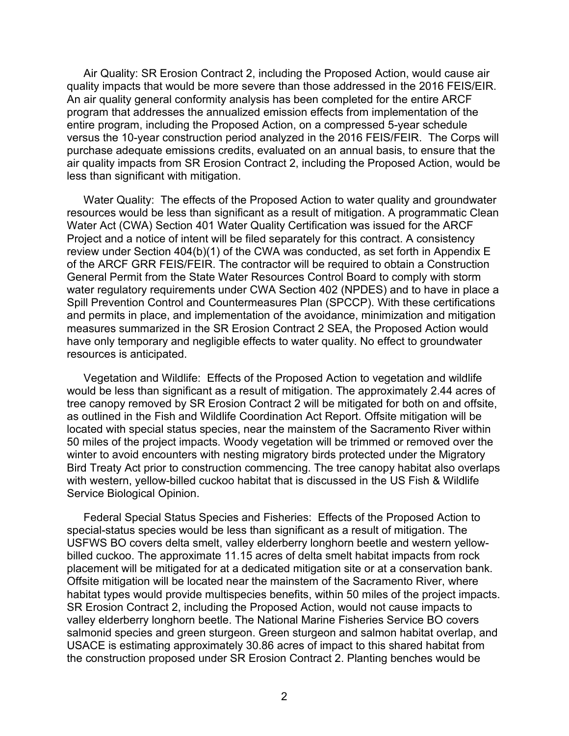Air Quality: SR Erosion Contract 2, including the Proposed Action, would cause air quality impacts that would be more severe than those addressed in the 2016 FEIS/EIR. An air quality general conformity analysis has been completed for the entire ARCF program that addresses the annualized emission effects from implementation of the entire program, including the Proposed Action, on a compressed 5-year schedule versus the 10-year construction period analyzed in the 2016 FEIS/FEIR. The Corps will purchase adequate emissions credits, evaluated on an annual basis, to ensure that the air quality impacts from SR Erosion Contract 2, including the Proposed Action, would be less than significant with mitigation.

Water Quality: The effects of the Proposed Action to water quality and groundwater resources would be less than significant as a result of mitigation. A programmatic Clean Water Act (CWA) Section 401 Water Quality Certification was issued for the ARCF Project and a notice of intent will be filed separately for this contract. A consistency review under Section 404(b)(1) of the CWA was conducted, as set forth in Appendix E of the ARCF GRR FEIS/FEIR. The contractor will be required to obtain a Construction General Permit from the State Water Resources Control Board to comply with storm water regulatory requirements under CWA Section 402 (NPDES) and to have in place a Spill Prevention Control and Countermeasures Plan (SPCCP). With these certifications and permits in place, and implementation of the avoidance, minimization and mitigation measures summarized in the SR Erosion Contract 2 SEA, the Proposed Action would have only temporary and negligible effects to water quality. No effect to groundwater resources is anticipated.

Vegetation and Wildlife: Effects of the Proposed Action to vegetation and wildlife would be less than significant as a result of mitigation. The approximately 2.44 acres of tree canopy removed by SR Erosion Contract 2 will be mitigated for both on and offsite, as outlined in the Fish and Wildlife Coordination Act Report. Offsite mitigation will be located with special status species, near the mainstem of the Sacramento River within 50 miles of the project impacts. Woody vegetation will be trimmed or removed over the winter to avoid encounters with nesting migratory birds protected under the Migratory Bird Treaty Act prior to construction commencing. The tree canopy habitat also overlaps with western, yellow-billed cuckoo habitat that is discussed in the US Fish & Wildlife Service Biological Opinion.

Federal Special Status Species and Fisheries: Effects of the Proposed Action to special-status species would be less than significant as a result of mitigation. The USFWS BO covers delta smelt, valley elderberry longhorn beetle and western yellowbilled cuckoo. The approximate 11.15 acres of delta smelt habitat impacts from rock placement will be mitigated for at a dedicated mitigation site or at a conservation bank. Offsite mitigation will be located near the mainstem of the Sacramento River, where habitat types would provide multispecies benefits, within 50 miles of the project impacts. SR Erosion Contract 2, including the Proposed Action, would not cause impacts to valley elderberry longhorn beetle. The National Marine Fisheries Service BO covers salmonid species and green sturgeon. Green sturgeon and salmon habitat overlap, and USACE is estimating approximately 30.86 acres of impact to this shared habitat from the construction proposed under SR Erosion Contract 2. Planting benches would be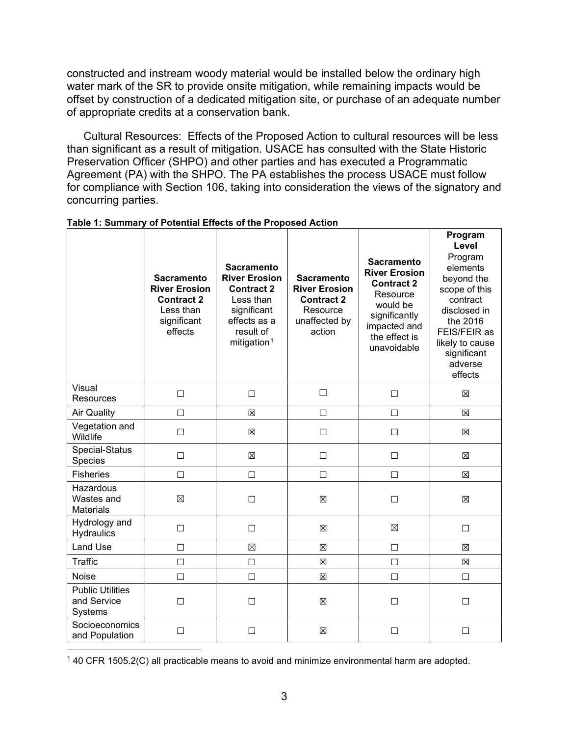constructed and instream woody material would be installed below the ordinary high water mark of the SR to provide onsite mitigation, while remaining impacts would be offset by construction of a dedicated mitigation site, or purchase of an adequate number of appropriate credits at a conservation bank.

Cultural Resources: Effects of the Proposed Action to cultural resources will be less than significant as a result of mitigation. USACE has consulted with the State Historic Preservation Officer (SHPO) and other parties and has executed a Programmatic Agreement (PA) with the SHPO. The PA establishes the process USACE must follow for compliance with Section 106, taking into consideration the views of the signatory and concurring parties.

|                                                   | <b>Sacramento</b><br><b>River Erosion</b><br><b>Contract 2</b><br>Less than<br>significant<br>effects | <b>Sacramento</b><br><b>River Erosion</b><br><b>Contract 2</b><br>Less than<br>significant<br>effects as a<br>result of<br>mitigation <sup>1</sup> | <b>Sacramento</b><br><b>River Erosion</b><br><b>Contract 2</b><br>Resource<br>unaffected by<br>action | <b>Sacramento</b><br><b>River Erosion</b><br><b>Contract 2</b><br>Resource<br>would be<br>significantly<br>impacted and<br>the effect is<br>unavoidable | Program<br>Level<br>Program<br>elements<br>beyond the<br>scope of this<br>contract<br>disclosed in<br>the 2016<br>FEIS/FEIR as<br>likely to cause<br>significant<br>adverse<br>effects |
|---------------------------------------------------|-------------------------------------------------------------------------------------------------------|----------------------------------------------------------------------------------------------------------------------------------------------------|-------------------------------------------------------------------------------------------------------|---------------------------------------------------------------------------------------------------------------------------------------------------------|----------------------------------------------------------------------------------------------------------------------------------------------------------------------------------------|
| Visual<br>Resources                               | $\Box$                                                                                                | $\Box$                                                                                                                                             | П                                                                                                     | $\Box$                                                                                                                                                  | 区                                                                                                                                                                                      |
| <b>Air Quality</b>                                | $\Box$                                                                                                | 図                                                                                                                                                  | $\Box$                                                                                                | $\Box$                                                                                                                                                  | 図                                                                                                                                                                                      |
| Vegetation and<br>Wildlife                        | $\Box$                                                                                                | 図                                                                                                                                                  | $\Box$                                                                                                | $\Box$                                                                                                                                                  | 区                                                                                                                                                                                      |
| Special-Status<br>Species                         | $\Box$                                                                                                | $\boxtimes$                                                                                                                                        | □                                                                                                     | $\Box$                                                                                                                                                  | 区                                                                                                                                                                                      |
| <b>Fisheries</b>                                  | П                                                                                                     | $\Box$                                                                                                                                             | $\Box$                                                                                                | $\Box$                                                                                                                                                  | 図                                                                                                                                                                                      |
| Hazardous<br>Wastes and<br><b>Materials</b>       | $\boxtimes$                                                                                           | $\Box$                                                                                                                                             | $\boxtimes$                                                                                           | $\Box$                                                                                                                                                  | $\boxtimes$                                                                                                                                                                            |
| Hydrology and<br>Hydraulics                       | $\Box$                                                                                                | $\Box$                                                                                                                                             | $\boxtimes$                                                                                           | $\boxtimes$                                                                                                                                             | $\Box$                                                                                                                                                                                 |
| Land Use                                          | $\Box$                                                                                                | $\boxtimes$                                                                                                                                        | X                                                                                                     | $\Box$                                                                                                                                                  | $\boxtimes$                                                                                                                                                                            |
| Traffic                                           | $\Box$                                                                                                | $\Box$                                                                                                                                             | 区                                                                                                     | $\Box$                                                                                                                                                  | 区                                                                                                                                                                                      |
| <b>Noise</b>                                      | П                                                                                                     | $\Box$                                                                                                                                             | $\boxtimes$                                                                                           | $\Box$                                                                                                                                                  | $\Box$                                                                                                                                                                                 |
| <b>Public Utilities</b><br>and Service<br>Systems | $\Box$                                                                                                | $\Box$                                                                                                                                             | X                                                                                                     | $\Box$                                                                                                                                                  | $\Box$                                                                                                                                                                                 |
| Socioeconomics<br>and Population                  | □                                                                                                     | □                                                                                                                                                  | X                                                                                                     | □                                                                                                                                                       | □                                                                                                                                                                                      |

<span id="page-2-0"></span>

<span id="page-2-1"></span> $140$  CFR 1505.2(C) all practicable means to avoid and minimize environmental harm are adopted.